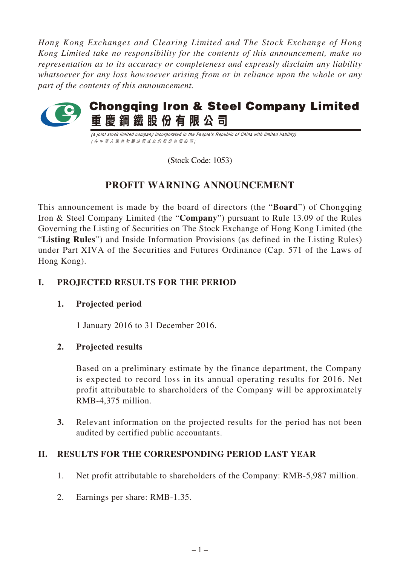*Hong Kong Exchanges and Clearing Limited and The Stock Exchange of Hong Kong Limited take no responsibility for the contents of this announcement, make no representation as to its accuracy or completeness and expressly disclaim any liability whatsoever for any loss howsoever arising from or in reliance upon the whole or any part of the contents of this announcement.*



(a joint stock limited company incorporated in the People's Republic of China with limited liability) (在中華人民共和國註冊成立的股份有限公司)

(Stock Code: 1053)

# **PROFIT WARNING ANNOUNCEMENT**

This announcement is made by the board of directors (the "**Board**") of Chongqing Iron & Steel Company Limited (the "**Company**") pursuant to Rule 13.09 of the Rules Governing the Listing of Securities on The Stock Exchange of Hong Kong Limited (the "**Listing Rules**") and Inside Information Provisions (as defined in the Listing Rules) under Part XIVA of the Securities and Futures Ordinance (Cap. 571 of the Laws of Hong Kong).

# **I. PROJECTED RESULTS FOR THE PERIOD**

## **1. Projected period**

1 January 2016 to 31 December 2016.

## **2. Projected results**

Based on a preliminary estimate by the finance department, the Company is expected to record loss in its annual operating results for 2016. Net profit attributable to shareholders of the Company will be approximately RMB-4,375 million.

**3.** Relevant information on the projected results for the period has not been audited by certified public accountants.

## **II. RESULTS FOR THE CORRESPONDING PERIOD LAST YEAR**

- 1. Net profit attributable to shareholders of the Company: RMB-5,987 million.
- 2. Earnings per share: RMB-1.35.